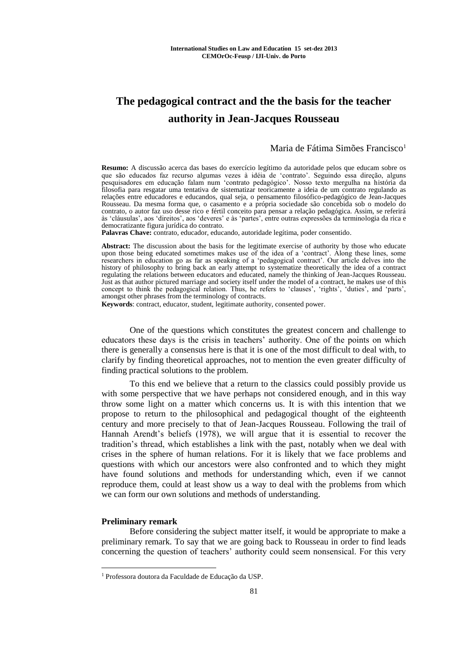# **The pedagogical contract and the the basis for the teacher authority in Jean-Jacques Rousseau**

# Maria de Fátima Simões Francisco<sup>1</sup>

**Resumo:** A discussão acerca das bases do exercício legítimo da autoridade pelos que educam sobre os que são educados faz recurso algumas vezes à idéia de 'contrato'. Seguindo essa direção, alguns pesquisadores em educação falam num 'contrato pedagógico'. Nosso texto mergulha na história da filosofia para resgatar uma tentativa de sistematizar teoricamente a ideia de um contrato regulando as relações entre educadores e educandos, qual seja, o pensamento filosófico-pedagógico de Jean-Jacques Rousseau. Da mesma forma que, o casamento e a própria sociedade são concebida sob o modelo do contrato, o autor faz uso desse rico e fértil conceito para pensar a relação pedagógica. Assim, se referirá às 'cláusulas', aos 'direitos', aos 'deveres' e às 'partes', entre outras expressões da terminologia da rica e democratizante figura jurídica do contrato.

**Palavras Chave:** contrato, educador, educando, autoridade legítima, poder consentido.

**Abstract:** The discussion about the basis for the legitimate exercise of authority by those who educate upon those being educated sometimes makes use of the idea of a 'contract'. Along these lines, some researchers in education go as far as speaking of a 'pedagogical contract'. Our article delves into the history of philosophy to bring back an early attempt to systematize theoretically the idea of a contract regulating the relations between educators and educated, namely the thinking of Jean-Jacques Rousseau. Just as that author pictured marriage and society itself under the model of a contract, he makes use of this concept to think the pedagogical relation. Thus, he refers to 'clauses', 'rights', 'duties', and 'parts', amongst other phrases from the terminology of contracts.

**Keywords**: contract, educator, student, legitimate authority, consented power.

One of the questions which constitutes the greatest concern and challenge to educators these days is the crisis in teachers' authority. One of the points on which there is generally a consensus here is that it is one of the most difficult to deal with, to clarify by finding theoretical approaches, not to mention the even greater difficulty of finding practical solutions to the problem.

To this end we believe that a return to the classics could possibly provide us with some perspective that we have perhaps not considered enough, and in this way throw some light on a matter which concerns us. It is with this intention that we propose to return to the philosophical and pedagogical thought of the eighteenth century and more precisely to that of Jean-Jacques Rousseau. Following the trail of Hannah Arendt's beliefs (1978), we will argue that it is essential to recover the tradition's thread, which establishes a link with the past, notably when we deal with crises in the sphere of human relations. For it is likely that we face problems and questions with which our ancestors were also confronted and to which they might have found solutions and methods for understanding which, even if we cannot reproduce them, could at least show us a way to deal with the problems from which we can form our own solutions and methods of understanding.

## **Preliminary remark**

<u>.</u>

Before considering the subject matter itself, it would be appropriate to make a preliminary remark. To say that we are going back to Rousseau in order to find leads concerning the question of teachers' authority could seem nonsensical. For this very

<sup>1</sup> Professora doutora da Faculdade de Educação da USP.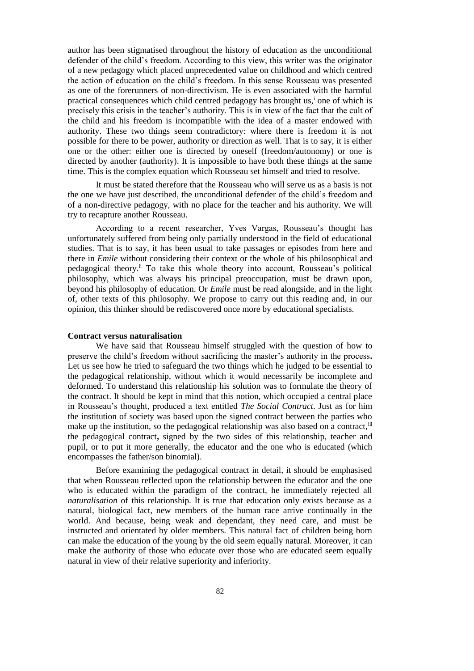author has been stigmatised throughout the history of education as the unconditional defender of the child's freedom. According to this view, this writer was the originator of a new pedagogy which placed unprecedented value on childhood and which centred the action of education on the child's freedom. In this sense Rousseau was presented as one of the forerunners of non-directivism. He is even associated with the harmful practical consequences which child centred pedagogy has brought us,<sup> $\mathbf{i}$ </sup> one of which is precisely this crisis in the teacher's authority. This is in view of the fact that the cult of the child and his freedom is incompatible with the idea of a master endowed with authority. These two things seem contradictory: where there is freedom it is not possible for there to be power, authority or direction as well. That is to say, it is either one or the other: either one is directed by oneself (freedom/autonomy) or one is directed by another (authority). It is impossible to have both these things at the same time. This is the complex equation which Rousseau set himself and tried to resolve.

It must be stated therefore that the Rousseau who will serve us as a basis is not the one we have just described, the unconditional defender of the child's freedom and of a non-directive pedagogy, with no place for the teacher and his authority. We will try to recapture another Rousseau.

According to a recent researcher, Yves Vargas, Rousseau's thought has unfortunately suffered from being only partially understood in the field of educational studies. That is to say, it has been usual to take passages or episodes from here and there in *Emile* without considering their context or the whole of his philosophical and pedagogical theory.<sup>ii</sup> To take this whole theory into account, Rousseau's political philosophy, which was always his principal preoccupation, must be drawn upon, beyond his philosophy of education. Or *Emile* must be read alongside, and in the light of, other texts of this philosophy. We propose to carry out this reading and, in our opinion, this thinker should be rediscovered once more by educational specialists.

# **Contract versus naturalisation**

We have said that Rousseau himself struggled with the question of how to preserve the child's freedom without sacrificing the master's authority in the process**.** Let us see how he tried to safeguard the two things which he judged to be essential to the pedagogical relationship, without which it would necessarily be incomplete and deformed. To understand this relationship his solution was to formulate the theory of the contract. It should be kept in mind that this notion, which occupied a central place in Rousseau's thought, produced a text entitled *The Social Contract*. Just as for him the institution of society was based upon the signed contract between the parties who make up the institution, so the pedagogical relationship was also based on a contract,<sup>iii</sup> the pedagogical contract**,** signed by the two sides of this relationship, teacher and pupil, or to put it more generally, the educator and the one who is educated (which encompasses the father/son binomial).

Before examining the pedagogical contract in detail, it should be emphasised that when Rousseau reflected upon the relationship between the educator and the one who is educated within the paradigm of the contract, he immediately rejected all *naturalisation* of this relationship. It is true that education only exists because as a natural, biological fact, new members of the human race arrive continually in the world. And because, being weak and dependant, they need care, and must be instructed and orientated by older members. This natural fact of children being born can make the education of the young by the old seem equally natural. Moreover, it can make the authority of those who educate over those who are educated seem equally natural in view of their relative superiority and inferiority.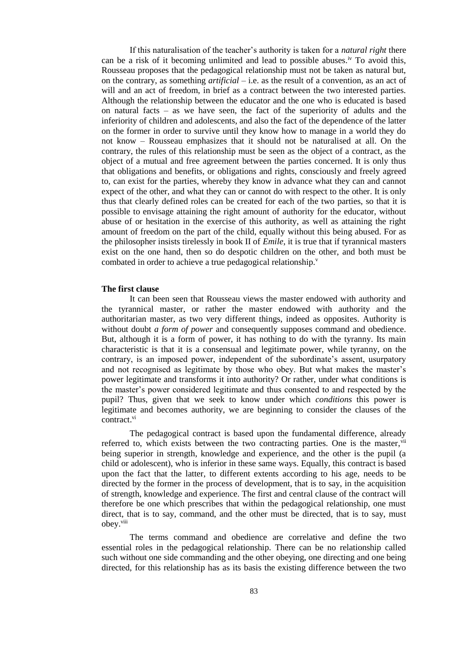If this naturalisation of the teacher's authority is taken for a *natural right* there can be a risk of it becoming unlimited and lead to possible abuses.<sup>iv</sup> To avoid this, Rousseau proposes that the pedagogical relationship must not be taken as natural but, on the contrary, as something *artificial* – i.e. as the result of a convention, as an act of will and an act of freedom, in brief as a contract between the two interested parties. Although the relationship between the educator and the one who is educated is based on natural facts – as we have seen, the fact of the superiority of adults and the inferiority of children and adolescents, and also the fact of the dependence of the latter on the former in order to survive until they know how to manage in a world they do not know – Rousseau emphasizes that it should not be naturalised at all. On the contrary, the rules of this relationship must be seen as the object of a contract, as the object of a mutual and free agreement between the parties concerned. It is only thus that obligations and benefits, or obligations and rights, consciously and freely agreed to, can exist for the parties, whereby they know in advance what they can and cannot expect of the other, and what they can or cannot do with respect to the other. It is only thus that clearly defined roles can be created for each of the two parties, so that it is possible to envisage attaining the right amount of authority for the educator, without abuse of or hesitation in the exercise of this authority, as well as attaining the right amount of freedom on the part of the child, equally without this being abused. For as the philosopher insists tirelessly in book II of *Emile*, it is true that if tyrannical masters exist on the one hand, then so do despotic children on the other, and both must be combated in order to achieve a true pedagogical relationship.<sup>v</sup>

## **The first clause**

It can been seen that Rousseau views the master endowed with authority and the tyrannical master, or rather the master endowed with authority and the authoritarian master, as two very different things, indeed as opposites. Authority is without doubt *a form of power* and consequently supposes command and obedience. But, although it is a form of power, it has nothing to do with the tyranny. Its main characteristic is that it is a consensual and legitimate power, while tyranny, on the contrary, is an imposed power, independent of the subordinate's assent, usurpatory and not recognised as legitimate by those who obey. But what makes the master's power legitimate and transforms it into authority? Or rather, under what conditions is the master's power considered legitimate and thus consented to and respected by the pupil? Thus, given that we seek to know under which *conditions* this power is legitimate and becomes authority, we are beginning to consider the clauses of the contract. vi

The pedagogical contract is based upon the fundamental difference, already referred to, which exists between the two contracting parties. One is the master,  $v$ <sup>ii</sup> being superior in strength, knowledge and experience, and the other is the pupil (a child or adolescent), who is inferior in these same ways. Equally, this contract is based upon the fact that the latter, to different extents according to his age, needs to be directed by the former in the process of development, that is to say, in the acquisition of strength, knowledge and experience. The first and central clause of the contract will therefore be one which prescribes that within the pedagogical relationship, one must direct, that is to say, command, and the other must be directed, that is to say, must obey.<sup>viii</sup>

The terms command and obedience are correlative and define the two essential roles in the pedagogical relationship. There can be no relationship called such without one side commanding and the other obeying, one directing and one being directed, for this relationship has as its basis the existing difference between the two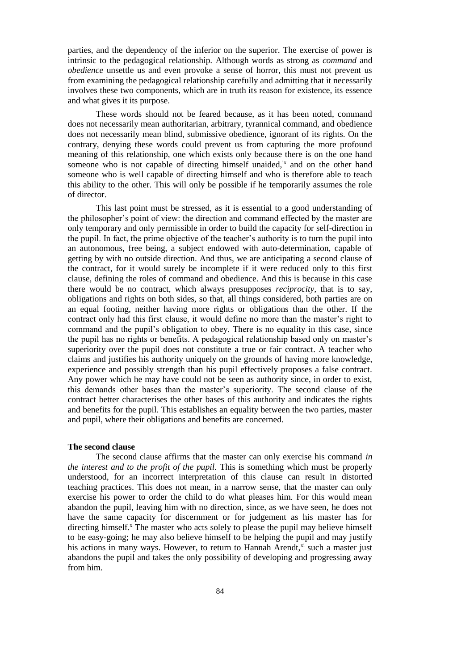parties, and the dependency of the inferior on the superior. The exercise of power is intrinsic to the pedagogical relationship. Although words as strong as *command* and *obedience* unsettle us and even provoke a sense of horror, this must not prevent us from examining the pedagogical relationship carefully and admitting that it necessarily involves these two components, which are in truth its reason for existence, its essence and what gives it its purpose.

These words should not be feared because, as it has been noted, command does not necessarily mean authoritarian, arbitrary, tyrannical command, and obedience does not necessarily mean blind, submissive obedience, ignorant of its rights. On the contrary, denying these words could prevent us from capturing the more profound meaning of this relationship, one which exists only because there is on the one hand someone who is not capable of directing himself unaided, $\dot{x}$  and on the other hand someone who is well capable of directing himself and who is therefore able to teach this ability to the other. This will only be possible if he temporarily assumes the role of director.

This last point must be stressed, as it is essential to a good understanding of the philosopher's point of view: the direction and command effected by the master are only temporary and only permissible in order to build the capacity for self-direction in the pupil. In fact, the prime objective of the teacher's authority is to turn the pupil into an autonomous, free being, a subject endowed with auto-determination, capable of getting by with no outside direction. And thus, we are anticipating a second clause of the contract, for it would surely be incomplete if it were reduced only to this first clause, defining the roles of command and obedience. And this is because in this case there would be no contract, which always presupposes *reciprocity,* that is to say, obligations and rights on both sides, so that, all things considered, both parties are on an equal footing, neither having more rights or obligations than the other. If the contract only had this first clause, it would define no more than the master's right to command and the pupil's obligation to obey. There is no equality in this case, since the pupil has no rights or benefits. A pedagogical relationship based only on master's superiority over the pupil does not constitute a true or fair contract. A teacher who claims and justifies his authority uniquely on the grounds of having more knowledge, experience and possibly strength than his pupil effectively proposes a false contract. Any power which he may have could not be seen as authority since, in order to exist, this demands other bases than the master's superiority. The second clause of the contract better characterises the other bases of this authority and indicates the rights and benefits for the pupil. This establishes an equality between the two parties, master and pupil, where their obligations and benefits are concerned.

#### **The second clause**

The second clause affirms that the master can only exercise his command *in the interest and to the profit of the pupil.* This is something which must be properly understood, for an incorrect interpretation of this clause can result in distorted teaching practices. This does not mean, in a narrow sense, that the master can only exercise his power to order the child to do what pleases him. For this would mean abandon the pupil, leaving him with no direction, since, as we have seen, he does not have the same capacity for discernment or for judgement as his master has for directing himself.<sup>x</sup> The master who acts solely to please the pupil may believe himself to be easy-going; he may also believe himself to be helping the pupil and may justify his actions in many ways. However, to return to Hannah Arendt, $x_i$  such a master just abandons the pupil and takes the only possibility of developing and progressing away from him.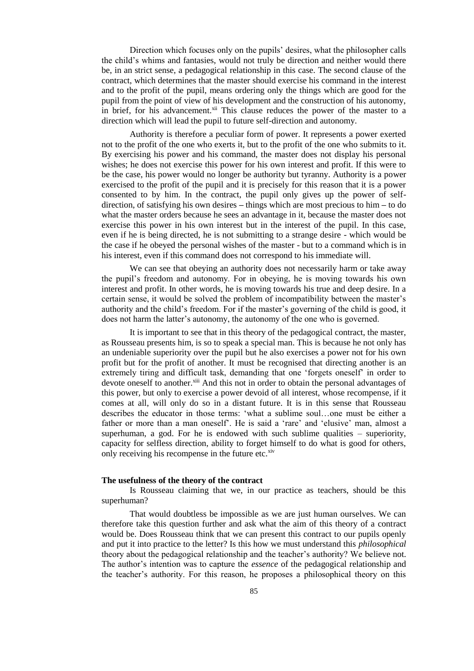Direction which focuses only on the pupils' desires, what the philosopher calls the child's whims and fantasies, would not truly be direction and neither would there be, in an strict sense, a pedagogical relationship in this case. The second clause of the contract, which determines that the master should exercise his command in the interest and to the profit of the pupil, means ordering only the things which are good for the pupil from the point of view of his development and the construction of his autonomy, in brief, for his advancement.<sup>xii</sup> This clause reduces the power of the master to a direction which will lead the pupil to future self-direction and autonomy.

Authority is therefore a peculiar form of power. It represents a power exerted not to the profit of the one who exerts it, but to the profit of the one who submits to it. By exercising his power and his command, the master does not display his personal wishes; he does not exercise this power for his own interest and profit. If this were to be the case, his power would no longer be authority but tyranny. Authority is a power exercised to the profit of the pupil and it is precisely for this reason that it is a power consented to by him. In the contract, the pupil only gives up the power of selfdirection, of satisfying his own desires **–** things which are most precious to him **–** to do what the master orders because he sees an advantage in it, because the master does not exercise this power in his own interest but in the interest of the pupil. In this case, even if he is being directed, he is not submitting to a strange desire - which would be the case if he obeyed the personal wishes of the master - but to a command which is in his interest, even if this command does not correspond to his immediate will.

We can see that obeying an authority does not necessarily harm or take away the pupil's freedom and autonomy. For in obeying, he is moving towards his own interest and profit. In other words, he is moving towards his true and deep desire. In a certain sense, it would be solved the problem of incompatibility between the master's authority and the child's freedom. For if the master's governing of the child is good, it does not harm the latter's autonomy, the autonomy of the one who is governed.

It is important to see that in this theory of the pedagogical contract, the master, as Rousseau presents him, is so to speak a special man. This is because he not only has an undeniable superiority over the pupil but he also exercises a power not for his own profit but for the profit of another. It must be recognised that directing another is an extremely tiring and difficult task, demanding that one 'forgets oneself' in order to devote oneself to another.<sup>xiii</sup> And this not in order to obtain the personal advantages of this power, but only to exercise a power devoid of all interest, whose recompense, if it comes at all, will only do so in a distant future. It is in this sense that Rousseau describes the educator in those terms: 'what a sublime soul…one must be either a father or more than a man oneself'. He is said a 'rare' and 'elusive' man, almost a superhuman, a god. For he is endowed with such sublime qualities  $-$  superiority, capacity for selfless direction, ability to forget himself to do what is good for others, only receiving his recompense in the future etc.<sup>xiv</sup>

## **The usefulness of the theory of the contract**

Is Rousseau claiming that we, in our practice as teachers, should be this superhuman?

That would doubtless be impossible as we are just human ourselves. We can therefore take this question further and ask what the aim of this theory of a contract would be. Does Rousseau think that we can present this contract to our pupils openly and put it into practice to the letter? Is this how we must understand this *philosophical*  theory about the pedagogical relationship and the teacher's authority? We believe not. The author's intention was to capture the *essence* of the pedagogical relationship and the teacher's authority. For this reason, he proposes a philosophical theory on this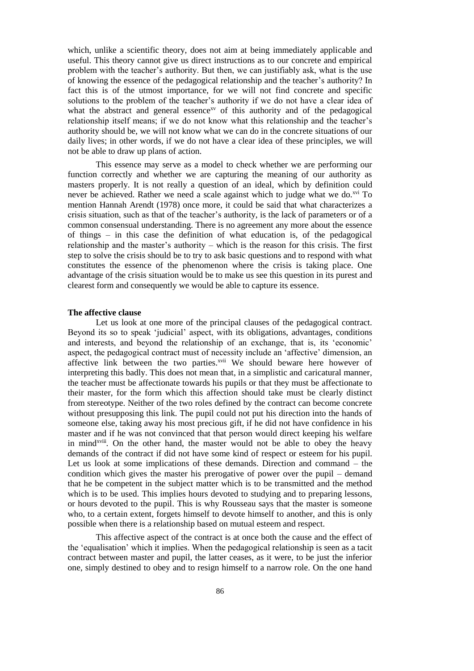which, unlike a scientific theory, does not aim at being immediately applicable and useful. This theory cannot give us direct instructions as to our concrete and empirical problem with the teacher's authority. But then, we can justifiably ask, what is the use of knowing the essence of the pedagogical relationship and the teacher's authority? In fact this is of the utmost importance, for we will not find concrete and specific solutions to the problem of the teacher's authority if we do not have a clear idea of what the abstract and general essence<sup>xv</sup> of this authority and of the pedagogical relationship itself means; if we do not know what this relationship and the teacher's authority should be, we will not know what we can do in the concrete situations of our daily lives; in other words, if we do not have a clear idea of these principles, we will not be able to draw up plans of action.

This essence may serve as a model to check whether we are performing our function correctly and whether we are capturing the meaning of our authority as masters properly. It is not really a question of an ideal, which by definition could never be achieved. Rather we need a scale against which to judge what we do.<sup>xvi</sup> To mention Hannah Arendt (1978) once more, it could be said that what characterizes a crisis situation, such as that of the teacher's authority, is the lack of parameters or of a common consensual understanding. There is no agreement any more about the essence of things – in this case the definition of what education is, of the pedagogical relationship and the master's authority – which is the reason for this crisis. The first step to solve the crisis should be to try to ask basic questions and to respond with what constitutes the essence of the phenomenon where the crisis is taking place. One advantage of the crisis situation would be to make us see this question in its purest and clearest form and consequently we would be able to capture its essence.

#### **The affective clause**

Let us look at one more of the principal clauses of the pedagogical contract. Beyond its so to speak 'judicial' aspect, with its obligations, advantages, conditions and interests, and beyond the relationship of an exchange, that is, its 'economic' aspect, the pedagogical contract must of necessity include an 'affective' dimension, an affective link between the two parties.<sup>xvii</sup> We should beware here however of interpreting this badly. This does not mean that, in a simplistic and caricatural manner, the teacher must be affectionate towards his pupils or that they must be affectionate to their master, for the form which this affection should take must be clearly distinct from stereotype. Neither of the two roles defined by the contract can become concrete without presupposing this link. The pupil could not put his direction into the hands of someone else, taking away his most precious gift, if he did not have confidence in his master and if he was not convinced that that person would direct keeping his welfare in mind<sup>xviii</sup>. On the other hand, the master would not be able to obey the heavy demands of the contract if did not have some kind of respect or esteem for his pupil. Let us look at some implications of these demands. Direction and command – the condition which gives the master his prerogative of power over the pupil – demand that he be competent in the subject matter which is to be transmitted and the method which is to be used. This implies hours devoted to studying and to preparing lessons, or hours devoted to the pupil. This is why Rousseau says that the master is someone who, to a certain extent, forgets himself to devote himself to another, and this is only possible when there is a relationship based on mutual esteem and respect.

This affective aspect of the contract is at once both the cause and the effect of the 'equalisation' which it implies. When the pedagogical relationship is seen as a tacit contract between master and pupil, the latter ceases, as it were, to be just the inferior one, simply destined to obey and to resign himself to a narrow role. On the one hand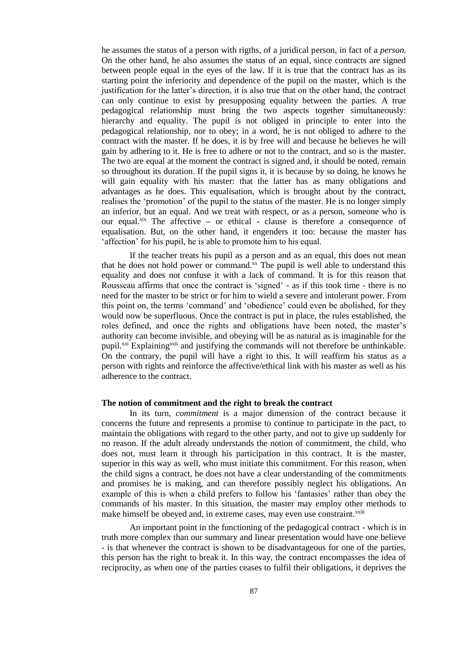he assumes the status of a person with rigths, of a juridical person, in fact of a *person.*  On the other hand, he also assumes the status of an equal, since contracts are signed between people equal in the eyes of the law. If it is true that the contract has as its starting point the inferiority and dependence of the pupil on the master, which is the justification for the latter's direction, it is also true that on the other hand, the contract can only continue to exist by presupposing equality between the parties. A true pedagogical relationship must bring the two aspects together simultaneously: hierarchy and equality. The pupil is not obliged in principle to enter into the pedagogical relationship, nor to obey; in a word, he is not obliged to adhere to the contract with the master. If he does, it is by free will and because he believes he will gain by adhering to it. He is free to adhere or not to the contract, and so is the master. The two are equal at the moment the contract is signed and, it should be noted, remain so throughout its duration. If the pupil signs it, it is because by so doing, he knows he will gain equality with his master: that the latter has as many obligations and advantages as he does. This equalisation, which is brought about by the contract, realises the 'promotion' of the pupil to the status of the master. He is no longer simply an inferior, but an equal. And we treat with respect, or as a person, someone who is our equal.xix The affective **–** or ethical **-** clause is therefore a consequence of equalisation. But, on the other hand, it engenders it too: because the master has 'affection' for his pupil, he is able to promote him to his equal.

If the teacher treats his pupil as a person and as an equal, this does not mean that he does not hold power or command.<sup>xx</sup> The pupil is well able to understand this equality and does not confuse it with a lack of command. It is for this reason that Rousseau affirms that once the contract is 'signed' - as if this took time - there is no need for the master to be strict or for him to wield a severe and intolerant power. From this point on, the terms 'command' and 'obedience' could even be abolished, for they would now be superfluous. Once the contract is put in place, the rules established, the roles defined, and once the rights and obligations have been noted, the master's authority can become invisible, and obeying will be as natural as is imaginable for the pupil.<sup>xxi</sup> Explaining<sup>xxii</sup> and justifying the commands will not therefore be unthinkable. On the contrary, the pupil will have a right to this. It will reaffirm his status as a person with rights and reinforce the affective/ethical link with his master as well as his adherence to the contract.

## **The notion of commitment and the right to break the contract**

In its turn, *commitment* is a major dimension of the contract because it concerns the future and represents a promise to continue to participate in the pact, to maintain the obligations with regard to the other party, and not to give up suddenly for no reason. If the adult already understands the notion of commitment, the child, who does not, must learn it through his participation in this contract. It is the master, superior in this way as well, who must initiate this commitment. For this reason, when the child signs a contract, he does not have a clear understanding of the commitments and promises he is making, and can therefore possibly neglect his obligations. An example of this is when a child prefers to follow his 'fantasies' rather than obey the commands of his master. In this situation, the master may employ other methods to make himself be obeyed and, in extreme cases, may even use constraint.<sup>xxiii</sup>

An important point in the functioning of the pedagogical contract - which is in truth more complex than our summary and linear presentation would have one believe - is that whenever the contract is shown to be disadvantageous for one of the parties, this person has the right to break it. In this way, the contract encompasses the idea of reciprocity, as when one of the parties ceases to fulfil their obligations, it deprives the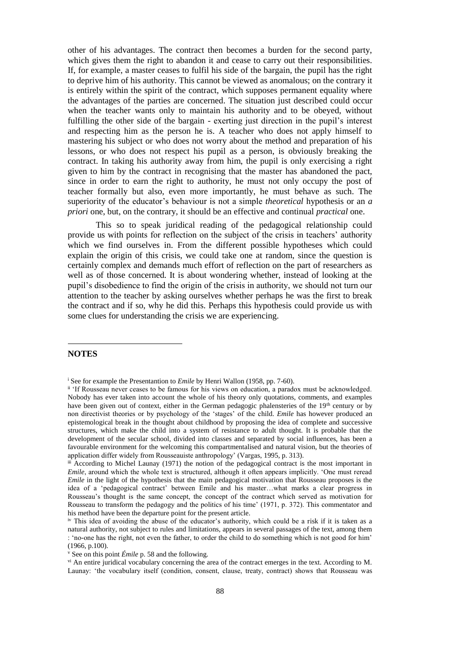other of his advantages. The contract then becomes a burden for the second party, which gives them the right to abandon it and cease to carry out their responsibilities. If, for example, a master ceases to fulfil his side of the bargain, the pupil has the right to deprive him of his authority. This cannot be viewed as anomalous; on the contrary it is entirely within the spirit of the contract, which supposes permanent equality where the advantages of the parties are concerned. The situation just described could occur when the teacher wants only to maintain his authority and to be obeyed, without fulfilling the other side of the bargain - exerting just direction in the pupil's interest and respecting him as the person he is. A teacher who does not apply himself to mastering his subject or who does not worry about the method and preparation of his lessons, or who does not respect his pupil as a person, is obviously breaking the contract. In taking his authority away from him, the pupil is only exercising a right given to him by the contract in recognising that the master has abandoned the pact, since in order to earn the right to authority, he must not only occupy the post of teacher formally but also, even more importantly, he must behave as such. The superiority of the educator's behaviour is not a simple *theoretical* hypothesis or an *a priori* one, but, on the contrary, it should be an effective and continual *practical* one.

This so to speak juridical reading of the pedagogical relationship could provide us with points for reflection on the subject of the crisis in teachers' authority which we find ourselves in. From the different possible hypotheses which could explain the origin of this crisis, we could take one at random, since the question is certainly complex and demands much effort of reflection on the part of researchers as well as of those concerned. It is about wondering whether, instead of looking at the pupil's disobedience to find the origin of the crisis in authority, we should not turn our attention to the teacher by asking ourselves whether perhaps he was the first to break the contract and if so, why he did this. Perhaps this hypothesis could provide us with some clues for understanding the crisis we are experiencing.

# **NOTES**

-

<sup>&</sup>lt;sup>i</sup> See for example the Presentantion to *Emile* by Henri Wallon (1958, pp. 7-60).

ii 'If Rousseau never ceases to be famous for his views on education, a paradox must be acknowledged. Nobody has ever taken into account the whole of his theory only quotations, comments, and examples have been given out of context, either in the German pedagogic phalensteries of the 19<sup>th</sup> century or by non directivist theories or by psychology of the 'stages' of the child. *Emile* has however produced an epistemological break in the thought about childhood by proposing the idea of complete and successive structures, which make the child into a system of resistance to adult thought. It is probable that the development of the secular school, divided into classes and separated by social influences, has been a favourable environment for the welcoming this compartmentalised and natural vision, but the theories of application differ widely from Rousseauiste anthropology' (Vargas, 1995, p. 313).

iii According to Michel Launay (1971) the notion of the pedagogical contract is the most important in *Emile*, around which the whole text is structured, although it often appears implicitly. 'One must reread *Emile* in the light of the hypothesis that the main pedagogical motivation that Rousseau proposes is the idea of a 'pedagogical contract' between Emile and his master…what marks a clear progress in Rousseau's thought is the same concept, the concept of the contract which served as motivation for Rousseau to transform the pedagogy and the politics of his time' (1971, p. 372). This commentator and his method have been the departure point for the present article.

iv This idea of avoiding the abuse of the educator's authority, which could be a risk if it is taken as a natural authority, not subject to rules and limitations, appears in several passages of the text, among them : 'no-one has the right, not even the father, to order the child to do something which is not good for him' (1966, p.100).

<sup>v</sup> See on this point *Émile* p. 58 and the following.

vi An entire juridical vocabulary concerning the area of the contract emerges in the text. According to M. Launay: 'the vocabulary itself (condition, consent, clause, treaty, contract) shows that Rousseau was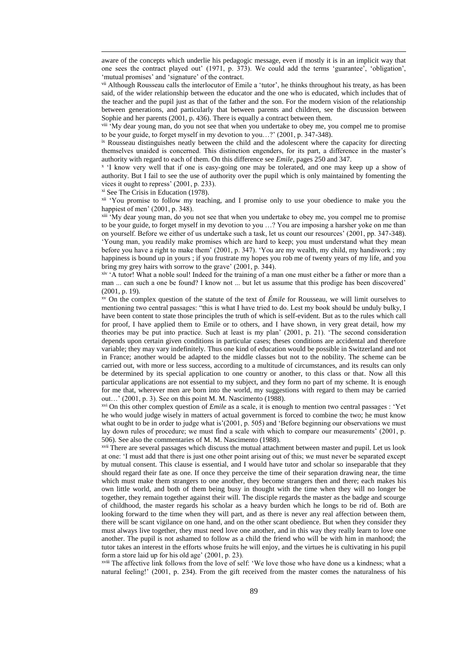aware of the concepts which underlie his pedagogic message, even if mostly it is in an implicit way that one sees the contract played out' (1971, p. 373). We could add the terms 'guarantee', 'obligation', 'mutual promises' and 'signature' of the contract.

vii Although Rousseau calls the interlocutor of Emile a 'tutor', he thinks throughout his treaty, as has been said, of the wider relationship between the educator and the one who is educated, which includes that of the teacher and the pupil just as that of the father and the son. For the modern vision of the relationship between generations, and particularly that between parents and children, see the discussion between Sophie and her parents (2001, p. 436). There is equally a contract between them.

<sup>viii</sup> 'My dear young man, do you not see that when you undertake to obey me, you compel me to promise to be your guide, to forget myself in my devotion to you…?' (2001, p. 347-348).

ix Rousseau distinguishes neatly between the child and the adolescent where the capacity for directing themselves unaided is concerned. This distinction engenders, for its part, a difference in the master's authority with regard to each of them. On this difference see *Emile,* pages 250 and 347.

x 'I know very well that if one is easy-going one may be tolerated, and one may keep up a show of authority. But I fail to see the use of authority over the pupil which is only maintained by fomenting the vices it ought to repress' (2001, p. 233).

xi See The Crisis in Education (1978).

-

<sup>xii</sup> 'You promise to follow my teaching, and I promise only to use your obedience to make you the happiest of men' (2001, p. 348).

xiii 'My dear young man, do you not see that when you undertake to obey me, you compel me to promise to be your guide, to forget myself in my devotion to you …? You are imposing a harsher yoke on me than on yourself. Before we either of us undertake such a task, let us count our resources' (2001, pp. 347-348). 'Young man, you readily make promises which are hard to keep; you must understand what they mean before you have a right to make them' (2001, p. 347). 'You are my wealth, my child, my handiwork ; my happiness is bound up in yours ; if you frustrate my hopes you rob me of twenty years of my life, and you bring my grey hairs with sorrow to the grave' (2001, p. 344).

xiv 'A tutor! What a noble soul! Indeed for the training of a man one must either be a father or more than a man ... can such a one be found? I know not ... but let us assume that this prodige has been discovered' (2001, p. 19).

xv On the complex question of the statute of the text of *Émile* for Rousseau, we will limit ourselves to mentioning two central passages: "this is what I have tried to do. Lest my book should be unduly bulky, I have been content to state those principles the truth of which is self-evident. But as to the rules which call for proof, I have applied them to Emile or to others, and I have shown, in very great detail, how my theories may be put into practice. Such at least is my plan' (2001, p. 21). 'The second consideration depends upon certain given conditions in particular cases; theses conditions are accidental and therefore variable; they may vary indefinitely. Thus one kind of education would be possible in Switzerland and not in France; another would be adapted to the middle classes but not to the nobility. The scheme can be carried out, with more or less success, according to a multitude of circumstances, and its results can only be determined by its special application to one country or another, to this class or that. Now all this particular applications are not essential to my subject, and they form no part of my scheme. It is enough for me that, wherever men are born into the world, my suggestions with regard to them may be carried out…' (2001, p. 3). See on this point M. M. Nascimento (1988).

xvi On this other complex question of *Emile* as a scale, it is enough to mention two central passages : 'Yet he who would judge wisely in matters of actual government is forced to combine the two; he must know what ought to be in order to judge what is'(2001, p. 505) and 'Before beginning our observations we must lay down rules of procedure; we must find a scale with which to compare our measurements' (2001, p. 506). See also the commentaries of M. M. Nascimento (1988).

xvii There are several passages which discuss the mutual attachment between master and pupil. Let us look at one: 'I must add that there is just one other point arising out of this; we must never be separated except by mutual consent. This clause is essential, and I would have tutor and scholar so inseparable that they should regard their fate as one. If once they perceive the time of their separation drawing near, the time which must make them strangers to one another, they become strangers then and there; each makes his own little world, and both of them being busy in thought with the time when they will no longer be together, they remain together against their will. The disciple regards the master as the badge and scourge of childhood, the master regards his scholar as a heavy burden which he longs to be rid of. Both are looking forward to the time when they will part, and as there is never any real affection between them, there will be scant vigilance on one hand, and on the other scant obedience. But when they consider they must always live together, they must need love one another, and in this way they really learn to love one another. The pupil is not ashamed to follow as a child the friend who will be with him in manhood; the tutor takes an interest in the efforts whose fruits he will enjoy, and the virtues he is cultivating in his pupil form a store laid up for his old age' (2001, p. 23).

xviii The affective link follows from the love of self: 'We love those who have done us a kindness; what a natural feeling!' (2001, p. 234). From the gift received from the master comes the naturalness of his